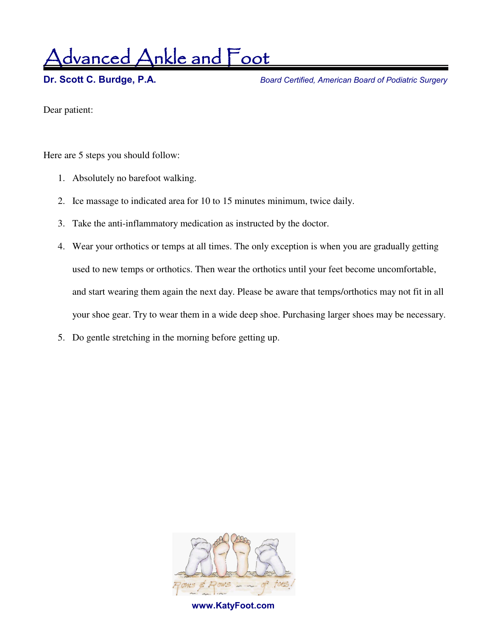<u>dvanced Ankle and Foot</u>

**Dr. Scott C. Burdge, P.A.** *Board Certified, American Board of Podiatric Surgery* 

Dear patient:

Here are 5 steps you should follow:

- 1. Absolutely no barefoot walking.
- 2. Ice massage to indicated area for 10 to 15 minutes minimum, twice daily.
- 3. Take the anti-inflammatory medication as instructed by the doctor.
- 4. Wear your orthotics or temps at all times. The only exception is when you are gradually getting used to new temps or orthotics. Then wear the orthotics until your feet become uncomfortable, and start wearing them again the next day. Please be aware that temps/orthotics may not fit in all your shoe gear. Try to wear them in a wide deep shoe. Purchasing larger shoes may be necessary.
- 5. Do gentle stretching in the morning before getting up.



 **www.KatyFoot.com**